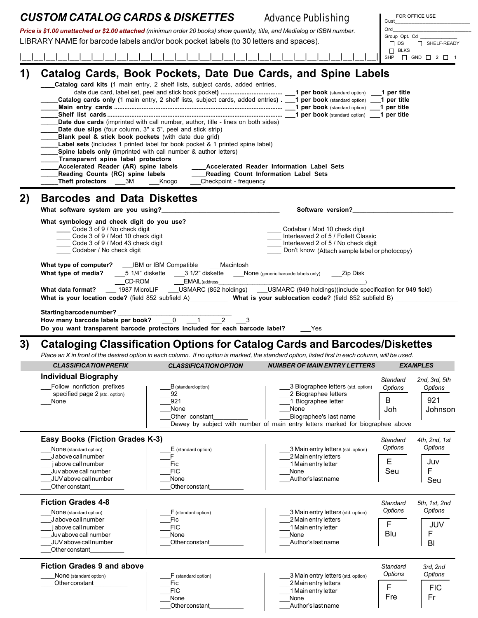|    | <b>CUSTOM CATALOG CARDS &amp; DISKETTES</b>                                                                                                                                                                                                                                                                                                                                                                                                                                                                                                                                                                                                                                                                                                                                                                                                                                                                                    |                                                                                                                                                                                                                                                                                                                              | <b>Advance Publishing</b>                                                                                                                                                                                                                                                                                   | FOR OFFICE USE<br>Cust                                                        |  |  |  |  |  |
|----|--------------------------------------------------------------------------------------------------------------------------------------------------------------------------------------------------------------------------------------------------------------------------------------------------------------------------------------------------------------------------------------------------------------------------------------------------------------------------------------------------------------------------------------------------------------------------------------------------------------------------------------------------------------------------------------------------------------------------------------------------------------------------------------------------------------------------------------------------------------------------------------------------------------------------------|------------------------------------------------------------------------------------------------------------------------------------------------------------------------------------------------------------------------------------------------------------------------------------------------------------------------------|-------------------------------------------------------------------------------------------------------------------------------------------------------------------------------------------------------------------------------------------------------------------------------------------------------------|-------------------------------------------------------------------------------|--|--|--|--|--|
|    |                                                                                                                                                                                                                                                                                                                                                                                                                                                                                                                                                                                                                                                                                                                                                                                                                                                                                                                                |                                                                                                                                                                                                                                                                                                                              | Price is \$1.00 unattached or \$2.00 attached (minimun order 20 books) show quantity, title, and Medialog or ISBN number.                                                                                                                                                                                   | Ord                                                                           |  |  |  |  |  |
|    | LIBRARY NAME for barcode labels and/or book pocket labels (to 30 letters and spaces).                                                                                                                                                                                                                                                                                                                                                                                                                                                                                                                                                                                                                                                                                                                                                                                                                                          |                                                                                                                                                                                                                                                                                                                              |                                                                                                                                                                                                                                                                                                             | Group Opt. Cd<br>$\square$ DS<br>SHELF-READY                                  |  |  |  |  |  |
|    |                                                                                                                                                                                                                                                                                                                                                                                                                                                                                                                                                                                                                                                                                                                                                                                                                                                                                                                                |                                                                                                                                                                                                                                                                                                                              |                                                                                                                                                                                                                                                                                                             | $\Box$ BLKS                                                                   |  |  |  |  |  |
|    |                                                                                                                                                                                                                                                                                                                                                                                                                                                                                                                                                                                                                                                                                                                                                                                                                                                                                                                                |                                                                                                                                                                                                                                                                                                                              |                                                                                                                                                                                                                                                                                                             | SHP $\Box$ GND $\Box$ 2 $\Box$ 1                                              |  |  |  |  |  |
| 1) | <b>Date due slips</b> (four column, $3'' \times 5''$ , peel and stick strip)<br>Blank peel & stick book pockets (with date due grid)<br>Transparent spine label protectors<br>Accelerated Reader (AR) spine labels                                                                                                                                                                                                                                                                                                                                                                                                                                                                                                                                                                                                                                                                                                             | Catalog card kits (1 main entry, 2 shelf lists, subject cards, added entries,<br>Date due cards (imprinted with call number, author, title - lines on both sides)<br><b>Label sets</b> (includes 1 printed label for book pocket & 1 printed spine label)<br>Spine labels only (imprinted with call number & author letters) | Catalog Cards, Book Pockets, Date Due Cards, and Spine Labels<br>Catalog cards only (1 main entry, 2 shelf lists, subject cards, added entries) . 1 per book (standard option) _<br><b>1 per book</b> (standard option)<br><b>1 per book</b> (standard option)<br>Accelerated Reader Information Label Sets | 1 per title<br>1 per title<br>1 per title<br>1 per title                      |  |  |  |  |  |
|    | Reading Counts (RC) spine labels<br>___Reading Count Information Label Sets<br>Theft protectors ___3M ___Knogo<br>Checkpoint - frequency __________                                                                                                                                                                                                                                                                                                                                                                                                                                                                                                                                                                                                                                                                                                                                                                            |                                                                                                                                                                                                                                                                                                                              |                                                                                                                                                                                                                                                                                                             |                                                                               |  |  |  |  |  |
| 2) | <b>Barcodes and Data Diskettes</b><br>Software version?<br>What software system are you using?<br>What symbology and check digit do you use?<br>Code 3 of 9 / No check digit<br>Codabar / Mod 10 check digit<br>Code 3 of 9 / Mod 10 check digit<br>Interleaved 2 of 5 / Follett Classic<br>Code 3 of 9 / Mod 43 check digit<br>Interleaved 2 of 5 / No check digit<br>Codabar / No check digit<br>Don't know (Attach sample label or photocopy)<br>What type of computer? ___IBM or IBM Compatible ___Macintosh<br>5 1/4" diskette _____ 3 1/2" diskette _____ None (generic barcode labels only) _____ Zip Disk<br>What type of media?<br>CD-ROM<br>EMAIL (address<br>___ 1987 MicroLIF ___USMARC (852 holdings) ___USMARC (949 holdings)(include specification for 949 field)<br>What data format?<br>What is your location code? (field 852 subfield A)_____________ What is your sublocation code? (field 852 subfield B) |                                                                                                                                                                                                                                                                                                                              |                                                                                                                                                                                                                                                                                                             |                                                                               |  |  |  |  |  |
| 3) | Starting barcode number?<br>How many barcode labels per book? 0 1<br>$2 \t3$<br>Do you want transparent barcode protectors included for each barcode label?<br>Yes<br>Cataloging Classification Options for Catalog Cards and Barcodes/Diskettes<br>Place an X in front of the desired option in each column. If no option is marked, the standard option, listed first in each column, will be used.                                                                                                                                                                                                                                                                                                                                                                                                                                                                                                                          |                                                                                                                                                                                                                                                                                                                              |                                                                                                                                                                                                                                                                                                             |                                                                               |  |  |  |  |  |
|    |                                                                                                                                                                                                                                                                                                                                                                                                                                                                                                                                                                                                                                                                                                                                                                                                                                                                                                                                |                                                                                                                                                                                                                                                                                                                              |                                                                                                                                                                                                                                                                                                             |                                                                               |  |  |  |  |  |
|    | <b>CLASSIFICATION PREFIX</b>                                                                                                                                                                                                                                                                                                                                                                                                                                                                                                                                                                                                                                                                                                                                                                                                                                                                                                   | <b>CLASSIFICATION OPTION</b>                                                                                                                                                                                                                                                                                                 | <b>NUMBER OF MAIN ENTRY LETTERS</b>                                                                                                                                                                                                                                                                         | <b>EXAMPLES</b>                                                               |  |  |  |  |  |
|    | <b>Individual Biography</b><br>Follow nonfiction prefixes<br>specified page 2 (std. option)<br>None                                                                                                                                                                                                                                                                                                                                                                                                                                                                                                                                                                                                                                                                                                                                                                                                                            | B (standard option)<br>92<br>921<br>None<br>Other constant                                                                                                                                                                                                                                                                   | 3 Biographee letters (std. option)<br>2 Biographee letters<br>1 Biographee letter<br>None<br>Biographee's last name<br>Dewey by subject with number of main entry letters marked for biographee above                                                                                                       | Standard<br>2nd, 3rd, 5th<br>Options<br>Options<br>921<br>B<br>Joh<br>Johnson |  |  |  |  |  |
|    | <b>Easy Books (Fiction Grades K-3)</b><br>4th, 2nd, 1st<br>Standard                                                                                                                                                                                                                                                                                                                                                                                                                                                                                                                                                                                                                                                                                                                                                                                                                                                            |                                                                                                                                                                                                                                                                                                                              |                                                                                                                                                                                                                                                                                                             |                                                                               |  |  |  |  |  |
|    | None (standard option)<br>Jabove call number<br>j above call number<br>Juv above call number<br>JUV above call number<br>Other constant                                                                                                                                                                                                                                                                                                                                                                                                                                                                                                                                                                                                                                                                                                                                                                                        | $E$ (standard option)<br>Fic<br><b>FIC</b><br>None<br>Other constant                                                                                                                                                                                                                                                         | 3 Main entry letters (std. option)<br>2 Main entry letters<br>1 Main entry letter<br>None<br>Author's last name                                                                                                                                                                                             | Options<br>Options<br>E<br>Juv<br>Seu<br>F<br>Seu                             |  |  |  |  |  |
|    | <b>Fiction Grades 4-8</b>                                                                                                                                                                                                                                                                                                                                                                                                                                                                                                                                                                                                                                                                                                                                                                                                                                                                                                      |                                                                                                                                                                                                                                                                                                                              |                                                                                                                                                                                                                                                                                                             | 5th, 1st, 2nd<br>Standard                                                     |  |  |  |  |  |
|    | None (standard option)<br>Jabove call number<br>jabove call number<br>Juv above call number<br>JUV above call number<br>Other constant                                                                                                                                                                                                                                                                                                                                                                                                                                                                                                                                                                                                                                                                                                                                                                                         | F (standard option)<br>Fic<br><b>FIC</b><br>None<br>Other constant                                                                                                                                                                                                                                                           | 3 Main entry letters (std. option)<br>2 Main entry letters<br>1 Main entry letter<br>None<br>Author's last name                                                                                                                                                                                             | Options<br>Options<br>F<br><b>JUV</b><br>Blu<br>$\mathsf F$<br>BI             |  |  |  |  |  |
|    | <b>Fiction Grades 9 and above</b>                                                                                                                                                                                                                                                                                                                                                                                                                                                                                                                                                                                                                                                                                                                                                                                                                                                                                              |                                                                                                                                                                                                                                                                                                                              |                                                                                                                                                                                                                                                                                                             | Standard<br>3rd, 2nd                                                          |  |  |  |  |  |
|    | None (standard option)<br>Other constant                                                                                                                                                                                                                                                                                                                                                                                                                                                                                                                                                                                                                                                                                                                                                                                                                                                                                       | F (standard option)<br>Fic<br><b>FIC</b><br>None                                                                                                                                                                                                                                                                             | 3 Main entry letters (std. option)<br>2 Main entry letters<br>1 Main entry letter<br>None                                                                                                                                                                                                                   | Options<br>Options<br>F<br><b>FIC</b><br>Fre<br>Fr                            |  |  |  |  |  |

| inone.         | inone              |
|----------------|--------------------|
| Other constant | Author's last name |

Fre<br>|<br>| | Fr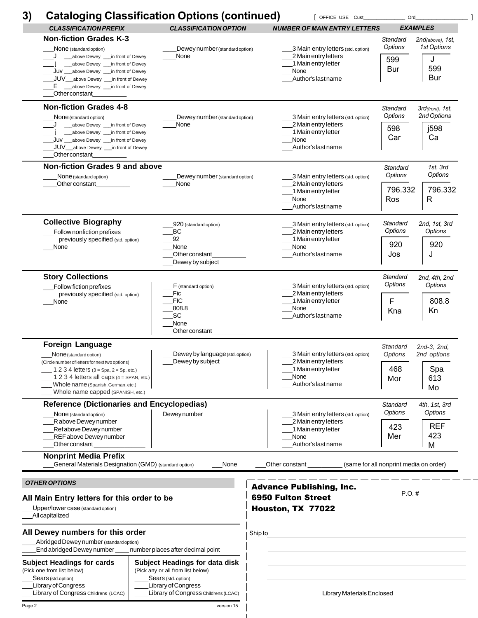| 3)     | <b>Cataloging Classification Options (continued)</b>                                                                                                                                                                                                                                                                           |                                                                                                                                                           | <b>DEFICE USE Cust</b>              |                                                                                                                                                                                                                                                                                                                                                       |                                    | Ord                                                                       |                                                           |  |
|--------|--------------------------------------------------------------------------------------------------------------------------------------------------------------------------------------------------------------------------------------------------------------------------------------------------------------------------------|-----------------------------------------------------------------------------------------------------------------------------------------------------------|-------------------------------------|-------------------------------------------------------------------------------------------------------------------------------------------------------------------------------------------------------------------------------------------------------------------------------------------------------------------------------------------------------|------------------------------------|---------------------------------------------------------------------------|-----------------------------------------------------------|--|
|        | <b>CLASSIFICATION PREFIX</b>                                                                                                                                                                                                                                                                                                   | <b>CLASSIFICATION OPTION</b>                                                                                                                              | <b>NUMBER OF MAIN ENTRY LETTERS</b> |                                                                                                                                                                                                                                                                                                                                                       |                                    | <b>EXAMPLES</b>                                                           |                                                           |  |
|        | <b>Non-fiction Grades K-3</b><br>Dewey number (standard option)<br>None (standard option)<br>None<br>__above Dewey ___ in front of Dewey<br>__above Dewey __in front of Dewey<br>JUV ___above Dewey ___in front of Dewey<br>JUV_above Dewey ___ in front of Dewey<br>E ____above Dewey ____in front of Dewey<br>Other constant |                                                                                                                                                           |                                     | 3 Main entry letters (std. option)<br>2 Main entry letters<br>1 Main entry letter<br>None<br>Author's last name<br>3 Main entry letters (std. option)<br>2 Main entry letters<br>1 Main entry letter<br>None<br>Author's last name<br>3 Main entry letters (std. option)<br>2 Main entry letters<br>1 Main entry letter<br>None<br>Author's last name |                                    | Standard<br>Options<br>599<br><b>Bur</b>                                  | 2nd(above), 1st,<br>1st Options<br>J<br>599<br><b>Bur</b> |  |
|        | <b>Non-fiction Grades 4-8</b><br>None (standard option)<br>__above Dewey ___ in front of Dewey<br>_above Dewey ____ in front of Dewey<br>Juv __above Dewey __in front of Dewey<br>JUV__above Dewey ___in front of Dewey<br>Other constant                                                                                      | Dewey number (standard option)<br>None<br>Dewey number (standard option)<br>None                                                                          |                                     |                                                                                                                                                                                                                                                                                                                                                       |                                    | Standard<br>Options<br>598<br>Car                                         | 3rd(front), 1st,<br>2nd Options<br>j598<br>Ca             |  |
|        | Non-fiction Grades 9 and above<br>None (standard option)<br>Other constant                                                                                                                                                                                                                                                     |                                                                                                                                                           |                                     |                                                                                                                                                                                                                                                                                                                                                       |                                    | Standard<br>Options<br>796.332<br>Ros                                     | 1st, 3rd<br>Options<br>796.332<br>R                       |  |
|        | <b>Collective Biography</b><br>Follow nonfiction prefixes<br>previously specified (std. option)<br>None                                                                                                                                                                                                                        | 920 (standard option)<br>ВC<br>92<br>None<br>Other constant<br>Dewey by subject                                                                           |                                     | 2 Main entry letters<br>1 Main entry letter<br>None<br>Author's last name                                                                                                                                                                                                                                                                             | 3 Main entry letters (std. option) | Standard<br>2nd, 1st, 3rd<br>Options<br>Options<br>920<br>920<br>Jos<br>J |                                                           |  |
|        | <b>Story Collections</b><br>Follow fiction prefixes<br>previously specified (std. option)<br>None                                                                                                                                                                                                                              | F (standard option)<br>Fic<br><b>FIC</b><br>808.8<br><b>SC</b><br>None<br>Other constant<br>Dewey by language (std. option)<br>Dewey by subject           |                                     | 3 Main entry letters (std. option)<br>2 Main entry letters<br>1 Main entry letter<br>None<br>Author's last name<br>3 Main entry letters (std. option)<br>2 Main entry letters<br>1 Main entry letter<br>None<br>Author's last name                                                                                                                    |                                    | Standard<br>Options<br>F<br>Kna                                           | 2nd, 4th, 2nd<br>Options<br>808.8<br>Kn                   |  |
|        | <b>Foreign Language</b><br>None (standard option)<br>(Circle number of letters for next two options)<br>1 2 3 4 letters (3 = Spa, 2 = Sp, etc.)<br>1 2 3 4 letters all caps $(4 = SPAN, etc.)$<br>Whole name (Spanish, German, etc.)<br>Whole name capped (SPANISH, etc.)                                                      |                                                                                                                                                           |                                     |                                                                                                                                                                                                                                                                                                                                                       |                                    | Standard<br>Options<br>468<br>Mor                                         | 2nd-3, 2nd,<br>2nd options<br>Spa<br>613<br>Mo            |  |
|        | <b>Reference (Dictionaries and Encyclopedias)</b><br>None (standard option)<br>Rabove Dewey number<br>Ref above Dewey number<br>REF above Dewey number<br>Other constant                                                                                                                                                       | Dewey number                                                                                                                                              |                                     | 2 Main entry letters<br>1 Main entry letter<br>None<br>Author's last name                                                                                                                                                                                                                                                                             | 3 Main entry letters (std. option) | Standard<br>Options<br>423<br>Mer                                         | 4th, 1st, 3rd<br>Options<br><b>REF</b><br>423<br>M        |  |
|        | <b>Nonprint Media Prefix</b><br><b>General Materials Designation (GMD)</b> (standard option)<br>None                                                                                                                                                                                                                           |                                                                                                                                                           |                                     | Other constant ________                                                                                                                                                                                                                                                                                                                               |                                    |                                                                           | (same for all nonprint media on order)                    |  |
|        | <b>OTHER OPTIONS</b><br>All Main Entry letters for this order to be<br>Upper/lower case (standard option)<br>All capitalized                                                                                                                                                                                                   |                                                                                                                                                           |                                     | <b>Advance Publishing, Inc.</b><br><b>6950 Fulton Street</b><br>Houston, TX 77022                                                                                                                                                                                                                                                                     |                                    | $P.O.$ #                                                                  |                                                           |  |
|        | All Dewey numbers for this order<br>Abridged Dewey number (standard option)<br>End abridged Dewey number                                                                                                                                                                                                                       | number places after decimal point                                                                                                                         | Ship to                             |                                                                                                                                                                                                                                                                                                                                                       |                                    |                                                                           |                                                           |  |
|        | <b>Subject Headings for cards</b><br>(Pick one from list below)<br>Sears (std.option)<br>Library of Congress<br>Library of Congress Childrens (LCAC)                                                                                                                                                                           | Subject Headings for data disk<br>(Pick any or all from list below)<br>Sears (std. option)<br>Library of Congress<br>Library of Congress Childrens (LCAC) |                                     |                                                                                                                                                                                                                                                                                                                                                       | Library Materials Enclosed         |                                                                           |                                                           |  |
| Page 2 |                                                                                                                                                                                                                                                                                                                                | version 15                                                                                                                                                |                                     |                                                                                                                                                                                                                                                                                                                                                       |                                    |                                                                           |                                                           |  |

I.